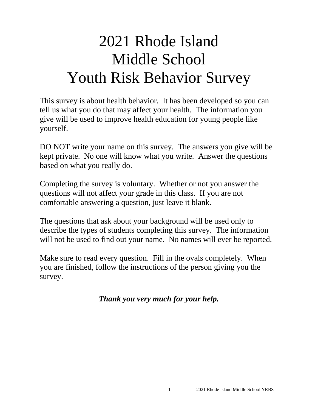# 2021 Rhode Island Middle School Youth Risk Behavior Survey

This survey is about health behavior. It has been developed so you can tell us what you do that may affect your health. The information you give will be used to improve health education for young people like yourself.

DO NOT write your name on this survey. The answers you give will be kept private. No one will know what you write. Answer the questions based on what you really do.

Completing the survey is voluntary. Whether or not you answer the questions will not affect your grade in this class. If you are not comfortable answering a question, just leave it blank.

The questions that ask about your background will be used only to describe the types of students completing this survey. The information will not be used to find out your name. No names will ever be reported.

Make sure to read every question. Fill in the ovals completely. When you are finished, follow the instructions of the person giving you the survey.

*Thank you very much for your help.*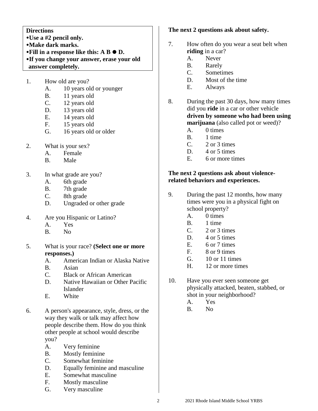### **Directions**

- **Use a #2 pencil only.**
- **Make dark marks.**
- **•Fill in a response like this: A B**  $\bullet$  **D.**
- **If you change your answer, erase your old answer completely.**
- 1. How old are you?
	- A. 10 years old or younger
	- B. 11 years old
	- C. 12 years old
	- D. 13 years old
	- E. 14 years old
	- F. 15 years old
	- G. 16 years old or older
- 2. What is your sex?
	- A. Female
	- B. Male
- 3. In what grade are you?
	- A. 6th grade
	- B. 7th grade
	- C. 8th grade
	- D. Ungraded or other grade
- 4. Are you Hispanic or Latino?
	- A. Yes
	- B. No
- 5. What is your race? **(Select one or more responses.)**
	- A. American Indian or Alaska Native
	- B. Asian
	- C. Black or African American
	- D. Native Hawaiian or Other Pacific Islander
	- E. White
- 6. A person's appearance, style, dress, or the way they walk or talk may affect how people describe them. How do you think other people at school would describe you?
	- A. Very feminine
	- B. Mostly feminine
	- C. Somewhat feminine
	- D. Equally feminine and masculine
	- E. Somewhat masculine
	- F. Mostly masculine
	- G. Very masculine

## **The next 2 questions ask about safety.**

- 7. How often do you wear a seat belt when **riding** in a car?
	- A. Never
	- B. Rarely
	- C. Sometimes
	- D. Most of the time
	- E. Always
- 8. During the past 30 days, how many times did you **ride** in a car or other vehicle **driven by someone who had been using marijuana** (also called pot or weed)?
	- A. 0 times
	- B. 1 time
	- C. 2 or 3 times
	- D. 4 or 5 times
	- E. 6 or more times

## **The next 2 questions ask about violencerelated behaviors and experiences.**

- 9. During the past 12 months, how many times were you in a physical fight on school property?
	- A. 0 times
	- B. 1 time
	- C. 2 or 3 times
	- D. 4 or 5 times
	- E. 6 or 7 times
	- F. 8 or 9 times
	- G. 10 or 11 times
	- H. 12 or more times
- 10. Have you ever seen someone get physically attacked, beaten, stabbed, or shot in your neighborhood?
	- A. Yes
	- B. No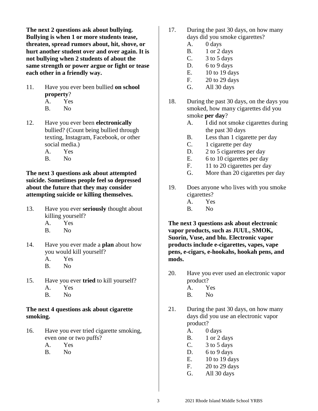**The next 2 questions ask about bullying. Bullying is when 1 or more students tease, threaten, spread rumors about, hit, shove, or hurt another student over and over again. It is not bullying when 2 students of about the same strength or power argue or fight or tease each other in a friendly way.**

- 11. Have you ever been bullied **on school property**?
	- A. Yes
	- B. No
- 12. Have you ever been **electronically** bullied? (Count being bullied through texting, Instagram, Facebook, or other social media.)
	- A. Yes
	- B. No

**The next 3 questions ask about attempted suicide. Sometimes people feel so depressed about the future that they may consider attempting suicide or killing themselves.**

- 13. Have you ever **seriously** thought about killing yourself?
	- A. Yes
	- B. No
- 14. Have you ever made a **plan** about how you would kill yourself?
	- A. Yes
	- B. No
- 15. Have you ever **tried** to kill yourself?
	- A. Yes
	- B. No

## **The next 4 questions ask about cigarette smoking.**

- 16. Have you ever tried cigarette smoking, even one or two puffs?
	- A. Yes
	- B. No
- 17. During the past 30 days, on how many days did you smoke cigarettes?
	- A. 0 days
	- B. 1 or 2 days
	- C.  $3 \text{ to } 5 \text{ days}$
	- D. 6 to 9 days
	- E. 10 to 19 days
	- F. 20 to 29 days
	- G. All 30 days
- 18. During the past 30 days, on the days you smoked, how many cigarettes did you smoke **per day**?
	- A. I did not smoke cigarettes during the past 30 days
	- B. Less than 1 cigarette per day
	- C. 1 cigarette per day
	- D. 2 to 5 cigarettes per day
	- E. 6 to 10 cigarettes per day
	- F. 11 to 20 cigarettes per day
	- G. More than 20 cigarettes per day
- 19. Does anyone who lives with you smoke cigarettes?
	- A. Yes
	- B. No

**The next 3 questions ask about electronic vapor products, such as JUUL, SMOK, Suorin, Vuse, and blu. Electronic vapor products include e-cigarettes, vapes, vape pens, e-cigars, e-hookahs, hookah pens, and mods.**

- 20. Have you ever used an electronic vapor product?
	- A. Yes
	- B. No
- 21. During the past 30 days, on how many days did you use an electronic vapor product?
	- A. 0 days
	- B. 1 or 2 days
	- C. 3 to 5 days
	- D. 6 to 9 days
	- E. 10 to 19 days
	- F. 20 to 29 days
	- G. All 30 days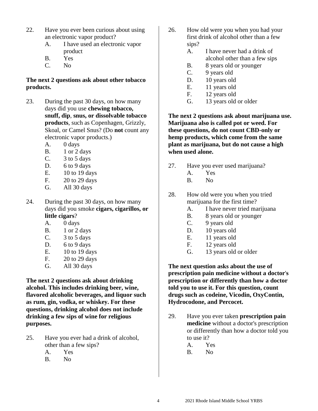- 22. Have you ever been curious about using an electronic vapor product?
	- A. I have used an electronic vapor product
	- B. Yes
	- C. No

## **The next 2 questions ask about other tobacco products.**

- 23. During the past 30 days, on how many days did you use **chewing tobacco, snuff, dip**, **snus, or dissolvable tobacco products**, such as Copenhagen, Grizzly, Skoal, or Camel Snus? (Do **not** count any electronic vapor products.)
	- A. 0 days
	- B. 1 or 2 days
	- C. 3 to 5 days
	- D. 6 to 9 days
	- E. 10 to 19 days
	- F. 20 to 29 days
	- G. All 30 days
- 24. During the past 30 days, on how many days did you smoke **cigars, cigarillos, or little cigars**?
	- A. 0 days
	- B. 1 or 2 days
	- C. 3 to 5 days
	- D. 6 to 9 days
	- E. 10 to 19 days
	- F. 20 to 29 days
	- G. All 30 days

**The next 2 questions ask about drinking alcohol. This includes drinking beer, wine, flavored alcoholic beverages, and liquor such as rum, gin, vodka, or whiskey. For these questions, drinking alcohol does not include drinking a few sips of wine for religious purposes.**

- 25. Have you ever had a drink of alcohol, other than a few sips?
	- A. Yes
	- B. No
- 26. How old were you when you had your first drink of alcohol other than a few sips?
	- A. I have never had a drink of alcohol other than a few sips
	- B. 8 years old or younger
	- C. 9 years old
	- D. 10 years old
	- E. 11 years old
	- F. 12 years old
	- G. 13 years old or older

**The next 2 questions ask about marijuana use. Marijuana also is called pot or weed. For these questions, do not count CBD-only or hemp products, which come from the same plant as marijuana, but do not cause a high when used alone.**

- 27. Have you ever used marijuana?
	- A. Yes
	- B. No
- 28. How old were you when you tried marijuana for the first time?
	- A. I have never tried marijuana
	- B. 8 years old or younger
	- C. 9 years old
	- D. 10 years old
	- E. 11 years old
	- F. 12 years old
	- G. 13 years old or older

**The next question asks about the use of prescription pain medicine without a doctor**'**s prescription or differently than how a doctor told you to use it. For this question, count drugs such as codeine, Vicodin, OxyContin, Hydrocodone, and Percocet.**

- 29. Have you ever taken **prescription pain medicine** without a doctor's prescription or differently than how a doctor told you to use it?
	- A. Yes
	- B. No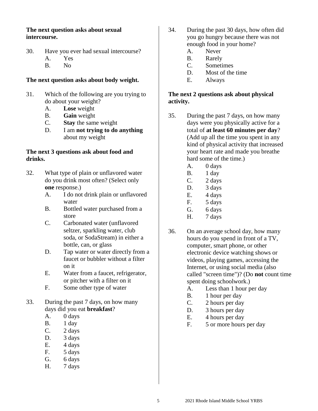## **The next question asks about sexual intercourse.**

- 30. Have you ever had sexual intercourse? A. Yes
	- B. No
	-

# **The next question asks about body weight.**

- 31. Which of the following are you trying to do about your weight?
	- A. **Lose** weight
	- B. **Gain** weight
	- C. **Stay** the same weight
	- D. I am **not trying to do anything** about my weight

## **The next 3 questions ask about food and drinks.**

- 32. What type of plain or unflavored water do you drink most often? (Select only **one** response.)
	- A. I do not drink plain or unflavored water
	- B. Bottled water purchased from a store
	- C. Carbonated water (unflavored seltzer, sparkling water, club soda, or SodaStream) in either a bottle, can, or glass
	- D. Tap water or water directly from a faucet or bubbler without a filter on it
	- E. Water from a faucet, refrigerator, or pitcher with a filter on it
	- F. Some other type of water
- 33. During the past 7 days, on how many days did you eat **breakfast**?
	- A. 0 days
	- B. 1 day
	- $C.$  2 days
	- D. 3 days
	- E. 4 days
	- F. 5 days
	- G. 6 days
	- H. 7 days
- 34. During the past 30 days, how often did you go hungry because there was not enough food in your home?
	- A. Never
	- B. Rarely
	- C. Sometimes
	- D. Most of the time
	- E. Always

# **The next 2 questions ask about physical activity.**

- 35. During the past 7 days, on how many days were you physically active for a total of **at least 60 minutes per day**? (Add up all the time you spent in any kind of physical activity that increased your heart rate and made you breathe hard some of the time.)
	- A. 0 days
	- B. 1 day
	- $C.$  2 days
	- D. 3 days
	- E. 4 days
	- F. 5 days
	- G. 6 days
	- H. 7 days
- 36. On an average school day, how many hours do you spend in front of a TV, computer, smart phone, or other electronic device watching shows or videos, playing games, accessing the Internet, or using social media (also called "screen time")? (Do **not** count time spent doing schoolwork.)
	- A. Less than 1 hour per day
	- B. 1 hour per day
	- C. 2 hours per day
	- D. 3 hours per day
	- E. 4 hours per day
	- F. 5 or more hours per day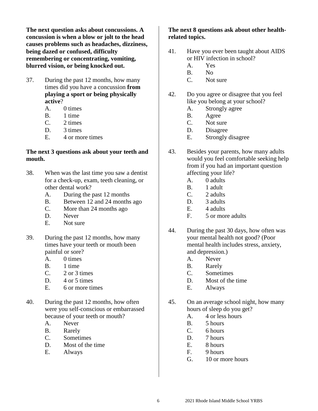**The next question asks about concussions. A concussion is when a blow or jolt to the head causes problems such as headaches, dizziness, being dazed or confused, difficulty remembering or concentrating, vomiting, blurred vision, or being knocked out.**

- 37. During the past 12 months, how many times did you have a concussion **from playing a sport or being physically active**?
	- A. 0 times
	- B. 1 time
	- C. 2 times
	- D. 3 times
	- E. 4 or more times

#### **The next 3 questions ask about your teeth and mouth.**

- 38. When was the last time you saw a dentist for a check-up, exam, teeth cleaning, or other dental work?
	- A. During the past 12 months
	- B. Between 12 and 24 months ago
	- C. More than 24 months ago
	- D. Never
	- E. Not sure
- 39. During the past 12 months, how many times have your teeth or mouth been painful or sore?
	- A. 0 times
	- B. 1 time
	- C. 2 or 3 times
	- D. 4 or 5 times
	- E. 6 or more times
- 40. During the past 12 months, how often were you self-conscious or embarrassed because of your teeth or mouth?
	- A. Never
	- B. Rarely
	- C. Sometimes
	- D. Most of the time
	- E. Always

### **The next 8 questions ask about other healthrelated topics.**

- 41. Have you ever been taught about AIDS or HIV infection in school?
	- A. Yes
	- B. No
	- C. Not sure
- 42. Do you agree or disagree that you feel like you belong at your school?
	- A. Strongly agree
	- B. Agree
	- C. Not sure
	- D. Disagree
	- E. Strongly disagree
- 43. Besides your parents, how many adults would you feel comfortable seeking help from if you had an important question affecting your life?
	- A. 0 adults
	- B. 1 adult
	- C. 2 adults
	- D. 3 adults
	- E. 4 adults
	- F. 5 or more adults
- 44. During the past 30 days, how often was your mental health not good? (Poor mental health includes stress, anxiety, and depression.)
	- A. Never
	- B. Rarely
	- C. Sometimes
	- D. Most of the time
	- E. Always
- 45. On an average school night, how many hours of sleep do you get?
	- A. 4 or less hours
	- B. 5 hours
	- C. 6 hours
	- D. 7 hours
	- E. 8 hours
	- F. 9 hours
	- G. 10 or more hours